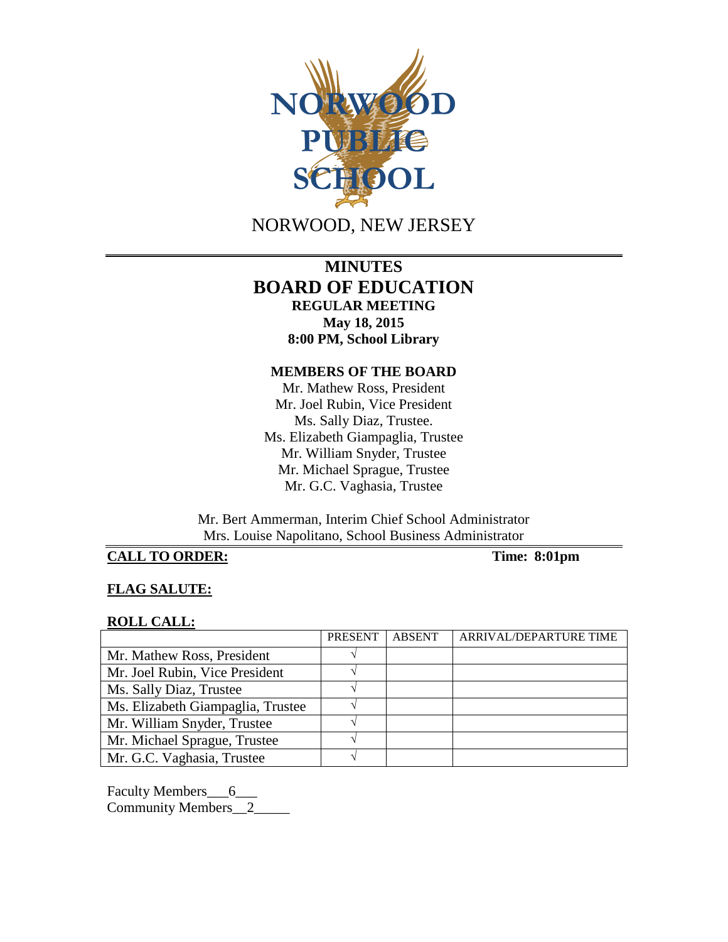

NORWOOD, NEW JERSEY

# **MINUTES BOARD OF EDUCATION REGULAR MEETING May 18, 2015 8:00 PM, School Library**

### **MEMBERS OF THE BOARD**

Mr. Mathew Ross, President Mr. Joel Rubin, Vice President Ms. Sally Diaz, Trustee. Ms. Elizabeth Giampaglia, Trustee Mr. William Snyder, Trustee Mr. Michael Sprague, Trustee Mr. G.C. Vaghasia, Trustee

Mr. Bert Ammerman, Interim Chief School Administrator Mrs. Louise Napolitano, School Business Administrator

# **CALL TO ORDER: Time: 8:01pm**

### **FLAG SALUTE:**

#### **ROLL CALL:**

|                                   | <b>PRESENT</b> | <b>ABSENT</b> | ARRIVAL/DEPARTURE TIME |
|-----------------------------------|----------------|---------------|------------------------|
| Mr. Mathew Ross, President        |                |               |                        |
| Mr. Joel Rubin, Vice President    |                |               |                        |
| Ms. Sally Diaz, Trustee           |                |               |                        |
| Ms. Elizabeth Giampaglia, Trustee |                |               |                        |
| Mr. William Snyder, Trustee       |                |               |                        |
| Mr. Michael Sprague, Trustee      |                |               |                        |
| Mr. G.C. Vaghasia, Trustee        |                |               |                        |

Faculty Members\_6\_\_\_ Community Members\_\_2\_\_\_\_\_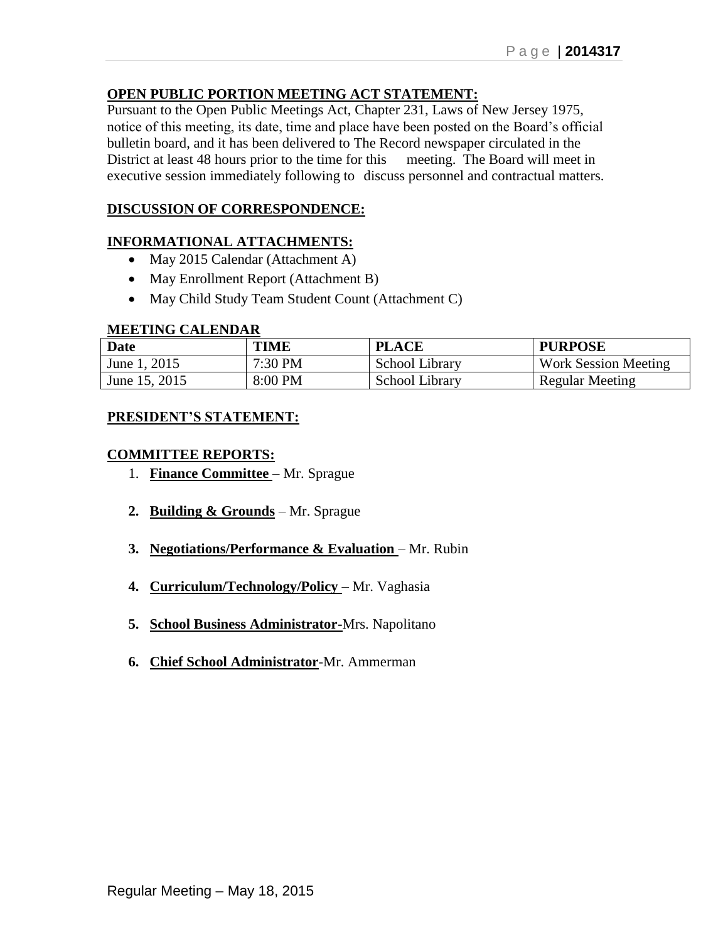## **OPEN PUBLIC PORTION MEETING ACT STATEMENT:**

Pursuant to the Open Public Meetings Act, Chapter 231, Laws of New Jersey 1975, notice of this meeting, its date, time and place have been posted on the Board's official bulletin board, and it has been delivered to The Record newspaper circulated in the District at least 48 hours prior to the time for this meeting. The Board will meet in executive session immediately following to discuss personnel and contractual matters.

# **DISCUSSION OF CORRESPONDENCE:**

## **INFORMATIONAL ATTACHMENTS:**

- May 2015 Calendar (Attachment A)
- May Enrollment Report (Attachment B)
- May Child Study Team Student Count (Attachment C)

#### **MEETING CALENDAR**

| <b>Date</b>   | TIME    | <b>PLACE</b>   | <b>PURPOSE</b>              |
|---------------|---------|----------------|-----------------------------|
| June 1, 2015  | 7:30 PM | School Library | <b>Work Session Meeting</b> |
| June 15, 2015 | 8:00 PM | School Library | Regular Meeting             |

### **PRESIDENT'S STATEMENT:**

### **COMMITTEE REPORTS:**

- 1. **Finance Committee** Mr. Sprague
- **2. Building & Grounds** Mr. Sprague
- **3. Negotiations/Performance & Evaluation** Mr. Rubin
- **4. Curriculum/Technology/Policy** Mr. Vaghasia
- **5. School Business Administrator-**Mrs. Napolitano
- **6. Chief School Administrator**-Mr. Ammerman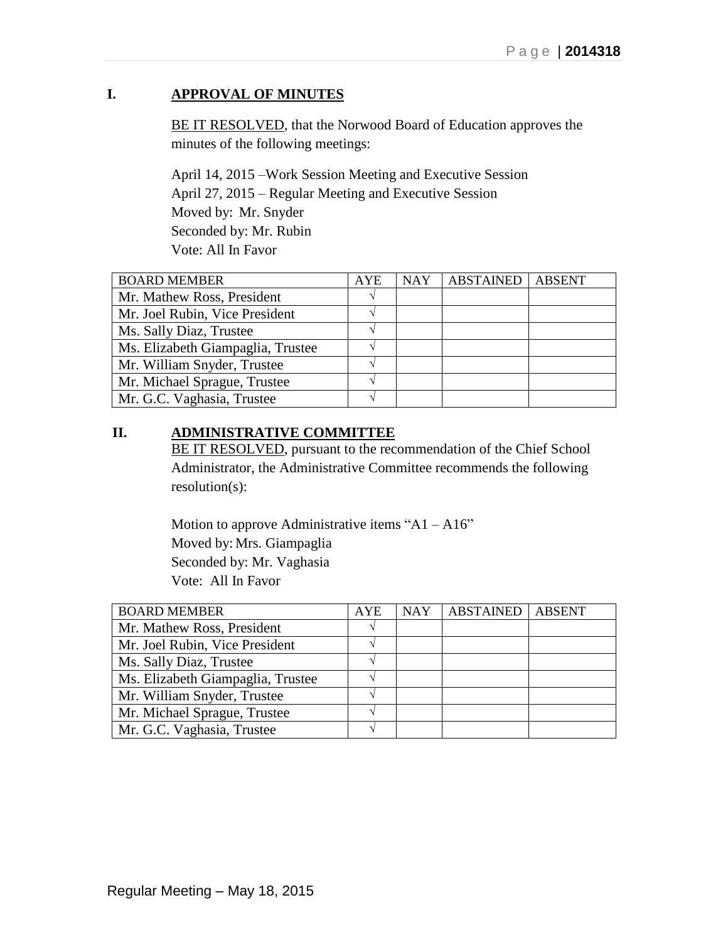# **I. APPROVAL OF MINUTES**

BE IT RESOLVED, that the Norwood Board of Education approves the minutes of the following meetings:

April 14, 2015 –Work Session Meeting and Executive Session April 27, 2015 – Regular Meeting and Executive Session Moved by: Mr. Snyder Seconded by: Mr. Rubin Vote: All In Favor

| <b>BOARD MEMBER</b>               | <b>AYE</b> | <b>NAY</b> | <b>ABSTAINED</b> | <b>ABSENT</b> |
|-----------------------------------|------------|------------|------------------|---------------|
| Mr. Mathew Ross, President        |            |            |                  |               |
| Mr. Joel Rubin, Vice President    |            |            |                  |               |
| Ms. Sally Diaz, Trustee           |            |            |                  |               |
| Ms. Elizabeth Giampaglia, Trustee |            |            |                  |               |
| Mr. William Snyder, Trustee       |            |            |                  |               |
| Mr. Michael Sprague, Trustee      |            |            |                  |               |
| Mr. G.C. Vaghasia, Trustee        |            |            |                  |               |

# **II. ADMINISTRATIVE COMMITTEE**

BE IT RESOLVED, pursuant to the recommendation of the Chief School Administrator, the Administrative Committee recommends the following resolution(s):

Motion to approve Administrative items " $A1 - A16$ " Moved by: Mrs. Giampaglia Seconded by: Mr. Vaghasia Vote: All In Favor

| <b>BOARD MEMBER</b>               | <b>AYE</b> | <b>NAY</b> | <b>ABSTAINED</b> | <b>ABSENT</b> |
|-----------------------------------|------------|------------|------------------|---------------|
| Mr. Mathew Ross, President        |            |            |                  |               |
| Mr. Joel Rubin, Vice President    |            |            |                  |               |
| Ms. Sally Diaz, Trustee           |            |            |                  |               |
| Ms. Elizabeth Giampaglia, Trustee |            |            |                  |               |
| Mr. William Snyder, Trustee       |            |            |                  |               |
| Mr. Michael Sprague, Trustee      |            |            |                  |               |
| Mr. G.C. Vaghasia, Trustee        |            |            |                  |               |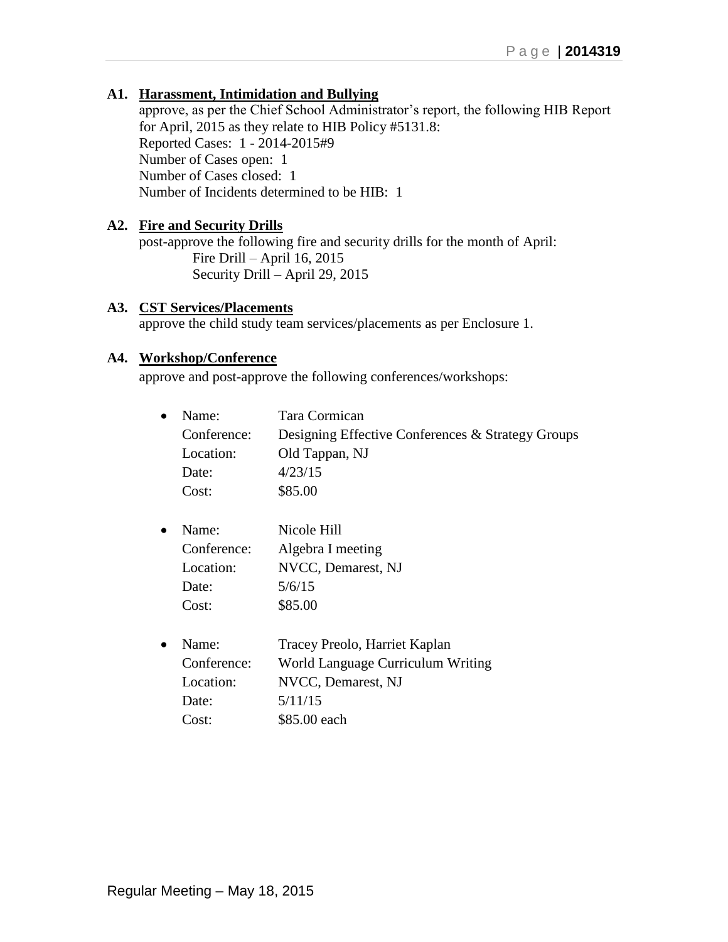### **A1. Harassment, Intimidation and Bullying**

approve, as per the Chief School Administrator's report, the following HIB Report for April, 2015 as they relate to HIB Policy #5131.8: Reported Cases: 1 - 2014-2015#9 Number of Cases open: 1 Number of Cases closed: 1 Number of Incidents determined to be HIB: 1

### **A2. Fire and Security Drills**

post-approve the following fire and security drills for the month of April: Fire Drill – April 16, 2015 Security Drill – April 29, 2015

### **A3. CST Services/Placements**

approve the child study team services/placements as per Enclosure 1.

### **A4. Workshop/Conference**

approve and post-approve the following conferences/workshops:

| Name:       | Tara Cormican                                     |
|-------------|---------------------------------------------------|
| Conference: | Designing Effective Conferences & Strategy Groups |
| Location:   | Old Tappan, NJ                                    |
| Date:       | 4/23/15                                           |
| Cost:       | \$85.00                                           |
| Name:       | Nicole Hill                                       |
| Conference: | Algebra I meeting                                 |
| Location:   | NVCC, Demarest, NJ                                |
| Date:       | 5/6/15                                            |
| Cost:       | \$85.00                                           |
| Name:       | Tracey Preolo, Harriet Kaplan                     |
| Conference: | World Language Curriculum Writing                 |
| Location:   | NVCC, Demarest, NJ                                |
| Date:       | 5/11/15                                           |
| Cost:       | \$85.00 each                                      |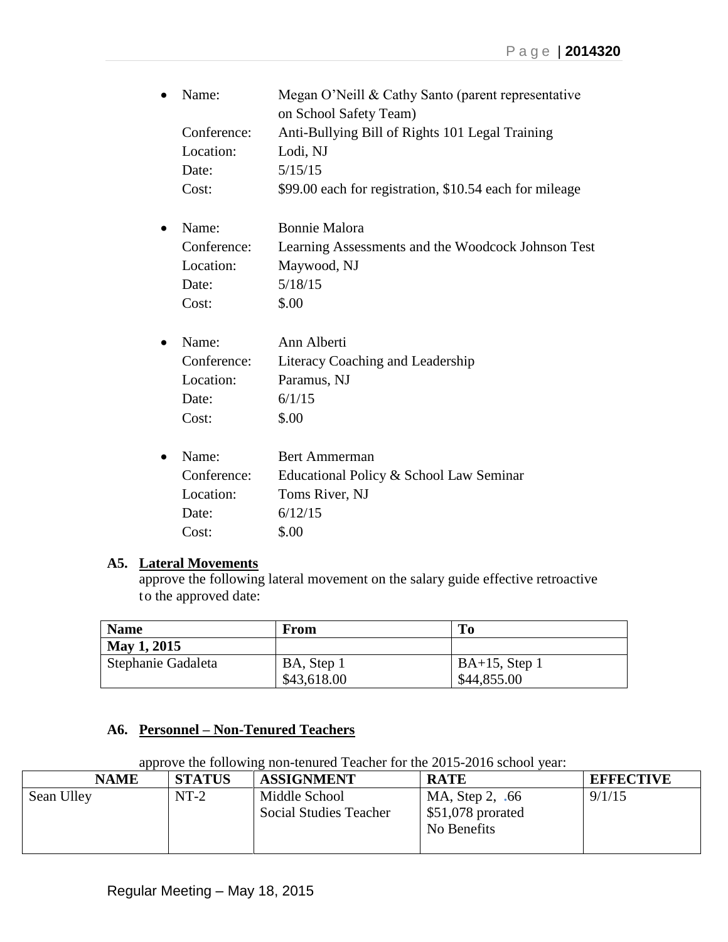| Name:       | Megan O'Neill & Cathy Santo (parent representative<br>on School Safety Team) |
|-------------|------------------------------------------------------------------------------|
| Conference: | Anti-Bullying Bill of Rights 101 Legal Training                              |
| Location:   | Lodi, NJ                                                                     |
| Date:       | 5/15/15                                                                      |
| Cost:       | \$99.00 each for registration, \$10.54 each for mileage                      |
| Name:       | <b>Bonnie Malora</b>                                                         |
| Conference: | Learning Assessments and the Woodcock Johnson Test                           |
| Location:   | Maywood, NJ                                                                  |
| Date:       | 5/18/15                                                                      |
| Cost:       | \$.00                                                                        |
| Name:       | Ann Alberti                                                                  |
| Conference: | Literacy Coaching and Leadership                                             |
| Location:   | Paramus, NJ                                                                  |
| Date:       | 6/1/15                                                                       |
| Cost:       | \$.00                                                                        |
| Name:       | <b>Bert Ammerman</b>                                                         |
| Conference: | Educational Policy & School Law Seminar                                      |
| Location:   | Toms River, NJ                                                               |
| Date:       | 6/12/15                                                                      |
| Cost:       | \$.00                                                                        |
|             |                                                                              |

# **A5. Lateral Movements**

approve the following lateral movement on the salary guide effective retroactive to the approved date:

| <b>Name</b>        | From        | To               |
|--------------------|-------------|------------------|
| May 1, 2015        |             |                  |
| Stephanie Gadaleta | BA, Step 1  | $BA+15$ , Step 1 |
|                    | \$43,618.00 | \$44,855.00      |

# **A6. Personnel – Non-Tenured Teachers**

approve the following non-tenured Teacher for the 2015-2016 school year:

| <b>NAME</b> | <b>STATUS</b> | <b>ASSIGNMENT</b>                              | <b>RATE</b>                                          | <b>EFFECTIVE</b> |
|-------------|---------------|------------------------------------------------|------------------------------------------------------|------------------|
| Sean Ulley  | $NT-2$        | Middle School<br><b>Social Studies Teacher</b> | MA, Step 2, .66<br>$$51,078$ prorated<br>No Benefits | 9/1/15           |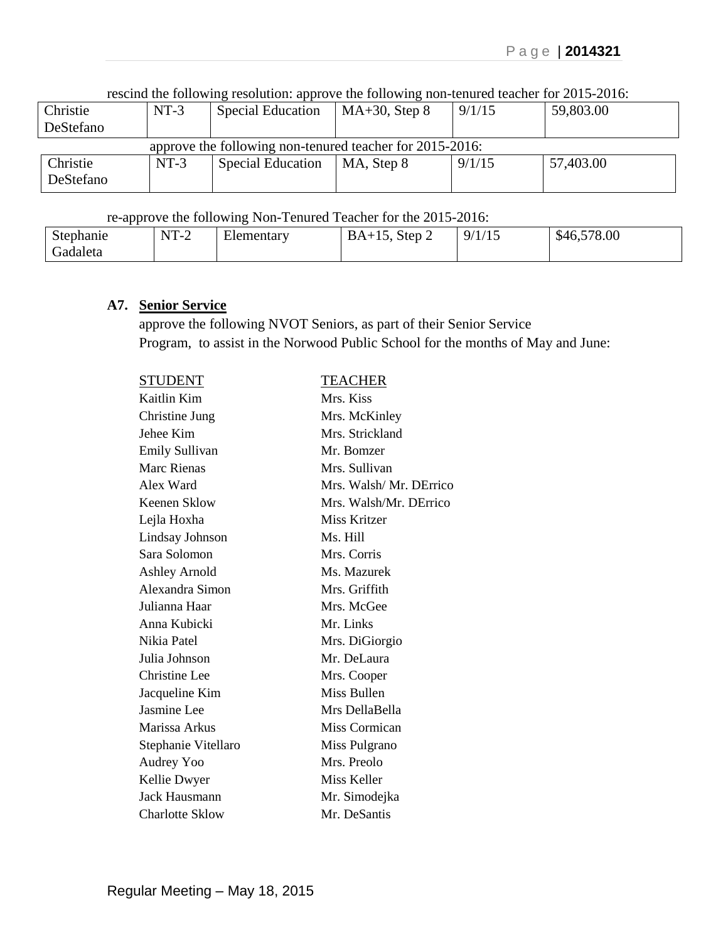rescind the following resolution: approve the following non-tenured teacher for 2015-2016:

| $NT-3$                                                   | <b>Special Education</b> | $MA+30$ , Step 8 | 9/1/15 | 59,803.00 |  |  |
|----------------------------------------------------------|--------------------------|------------------|--------|-----------|--|--|
|                                                          |                          |                  |        |           |  |  |
| approve the following non-tenured teacher for 2015-2016: |                          |                  |        |           |  |  |
| $NT-3$                                                   | <b>Special Education</b> | MA, Step 8       | 9/1/15 | 57,403.00 |  |  |
|                                                          |                          |                  |        |           |  |  |
|                                                          |                          |                  |        |           |  |  |

### re-approve the following Non-Tenured Teacher for the 2015-2016:

| . .                 |                                            | . .                     |                    |       |                                      |
|---------------------|--------------------------------------------|-------------------------|--------------------|-------|--------------------------------------|
| $\sim$<br>Stephanie | NTT<br>◥<br>.<br>$\mathbf{1}$<br><b>__</b> | $\sim$<br>ementary<br>ല | $BA+$<br>Step<br>∼ | 9/1/1 | 578.00<br>$\triangle$<br>ა4r<br>−∪•∩ |
| adaleta i           |                                            |                         |                    |       |                                      |

#### **A7. Senior Service**

approve the following NVOT Seniors, as part of their Senior Service Program, to assist in the Norwood Public School for the months of May and June:

| <b>STUDENT</b>         | <b>TEACHER</b>         |
|------------------------|------------------------|
| Kaitlin Kim            | Mrs. Kiss              |
| Christine Jung         | Mrs. McKinley          |
| Jehee Kim              | Mrs. Strickland        |
| <b>Emily Sullivan</b>  | Mr. Bomzer             |
| Marc Rienas            | Mrs. Sullivan          |
| Alex Ward              | Mrs. Walsh/Mr. DErrico |
| Keenen Sklow           | Mrs. Walsh/Mr. DErrico |
| Lejla Hoxha            | Miss Kritzer           |
| Lindsay Johnson        | Ms. Hill               |
| Sara Solomon           | Mrs. Corris            |
| <b>Ashley Arnold</b>   | Ms. Mazurek            |
| Alexandra Simon        | Mrs. Griffith          |
| Julianna Haar          | Mrs. McGee             |
| Anna Kubicki           | Mr. Links              |
| Nikia Patel            | Mrs. DiGiorgio         |
| Julia Johnson          | Mr. DeLaura            |
| <b>Christine</b> Lee   | Mrs. Cooper            |
| Jacqueline Kim         | Miss Bullen            |
| Jasmine Lee            | Mrs DellaBella         |
| Marissa Arkus          | Miss Cormican          |
| Stephanie Vitellaro    | Miss Pulgrano          |
| Audrey Yoo             | Mrs. Preolo            |
| Kellie Dwyer           | Miss Keller            |
| Jack Hausmann          | Mr. Simodejka          |
| <b>Charlotte Sklow</b> | Mr. DeSantis           |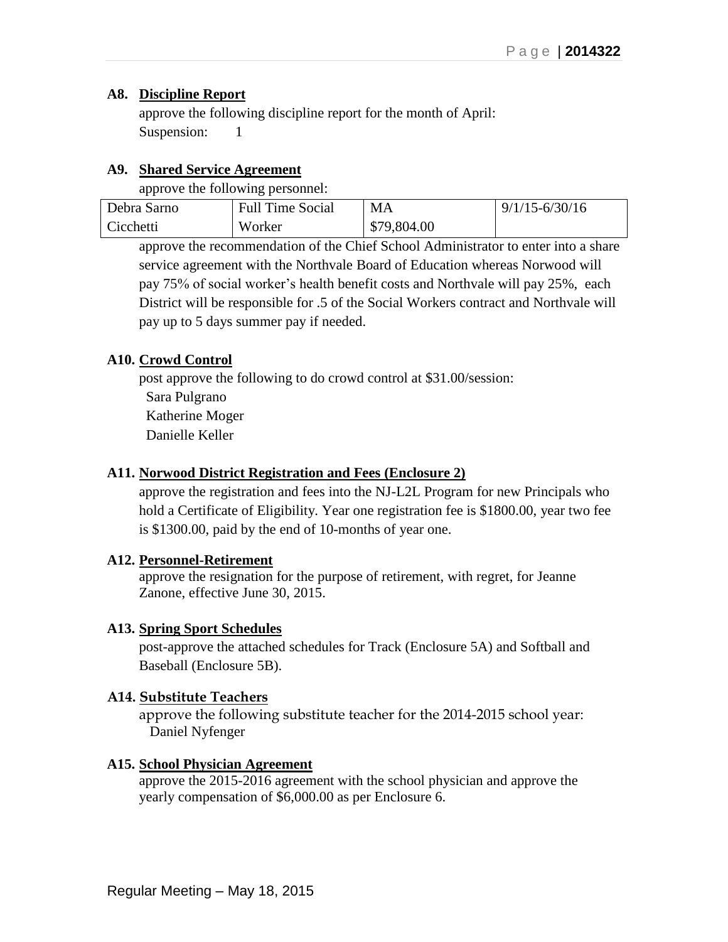### **A8. Discipline Report**

approve the following discipline report for the month of April: Suspension: 1

### **A9. Shared Service Agreement**

approve the following personnel:

| Debra Sarno | <b>Full Time Social</b> | MA          | $9/1/15 - 6/30/16$ |
|-------------|-------------------------|-------------|--------------------|
| Cicchetti   | Worker                  | \$79,804.00 |                    |

approve the recommendation of the Chief School Administrator to enter into a share service agreement with the Northvale Board of Education whereas Norwood will pay 75% of social worker's health benefit costs and Northvale will pay 25%, each District will be responsible for .5 of the Social Workers contract and Northvale will pay up to 5 days summer pay if needed.

## **A10. Crowd Control**

post approve the following to do crowd control at \$31.00/session: Sara Pulgrano Katherine Moger Danielle Keller

### **A11. Norwood District Registration and Fees (Enclosure 2)**

approve the registration and fees into the NJ-L2L Program for new Principals who hold a Certificate of Eligibility. Year one registration fee is \$1800.00, year two fee is \$1300.00, paid by the end of 10-months of year one.

### **A12. Personnel-Retirement**

 approve the resignation for the purpose of retirement, with regret, for Jeanne Zanone, effective June 30, 2015.

### **A13. Spring Sport Schedules**

post-approve the attached schedules for Track (Enclosure 5A) and Softball and Baseball (Enclosure 5B).

## **A14. Substitute Teachers**

approve the following substitute teacher for the 2014-2015 school year: Daniel Nyfenger

## **A15. School Physician Agreement**

approve the 2015-2016 agreement with the school physician and approve the yearly compensation of \$6,000.00 as per Enclosure 6.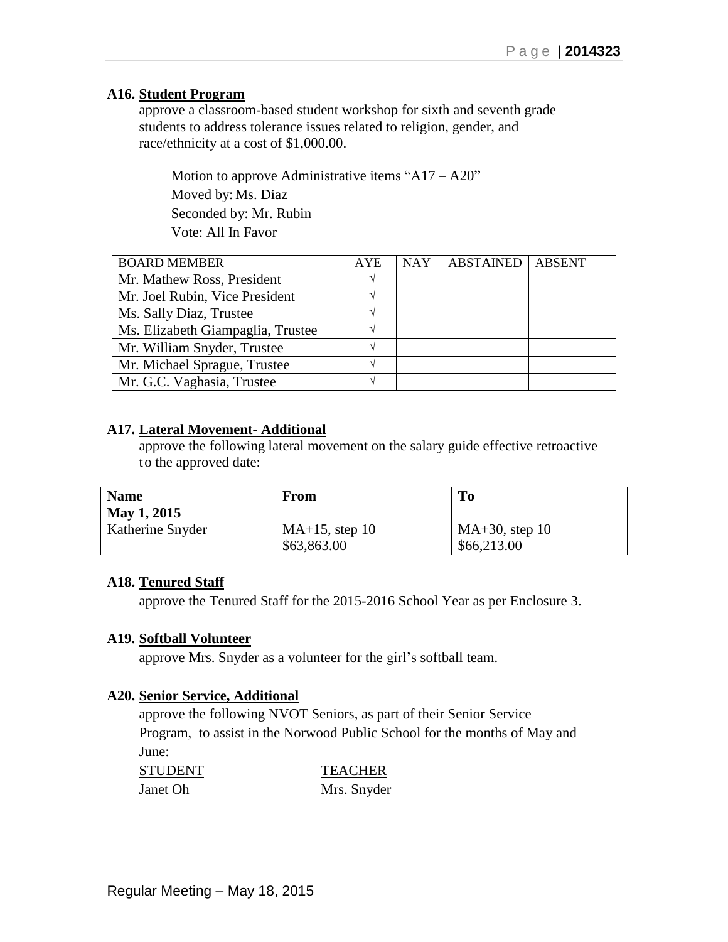### **A16. Student Program**

approve a classroom-based student workshop for sixth and seventh grade students to address tolerance issues related to religion, gender, and race/ethnicity at a cost of \$1,000.00.

Motion to approve Administrative items "A17 – A20" Moved by: Ms. Diaz Seconded by: Mr. Rubin Vote: All In Favor

| <b>BOARD MEMBER</b>               | <b>AYE</b> | <b>NAY</b> | <b>ABSTAINED</b> | <b>ABSENT</b> |
|-----------------------------------|------------|------------|------------------|---------------|
| Mr. Mathew Ross, President        |            |            |                  |               |
| Mr. Joel Rubin, Vice President    |            |            |                  |               |
| Ms. Sally Diaz, Trustee           |            |            |                  |               |
| Ms. Elizabeth Giampaglia, Trustee |            |            |                  |               |
| Mr. William Snyder, Trustee       |            |            |                  |               |
| Mr. Michael Sprague, Trustee      |            |            |                  |               |
| Mr. G.C. Vaghasia, Trustee        |            |            |                  |               |

### **A17. Lateral Movement- Additional**

approve the following lateral movement on the salary guide effective retroactive to the approved date:

| <b>Name</b>      | From              | <b>To</b>         |
|------------------|-------------------|-------------------|
| May 1, 2015      |                   |                   |
| Katherine Snyder | $MA+15$ , step 10 | $MA+30$ , step 10 |
|                  | \$63,863.00       | \$66,213.00       |

### **A18. Tenured Staff**

approve the Tenured Staff for the 2015-2016 School Year as per Enclosure 3.

### **A19. Softball Volunteer**

approve Mrs. Snyder as a volunteer for the girl's softball team.

### **A20. Senior Service, Additional**

approve the following NVOT Seniors, as part of their Senior Service Program, to assist in the Norwood Public School for the months of May and June:

| <b>STUDENT</b> | <b>TEACHER</b> |
|----------------|----------------|
| Janet Oh       | Mrs. Snyder    |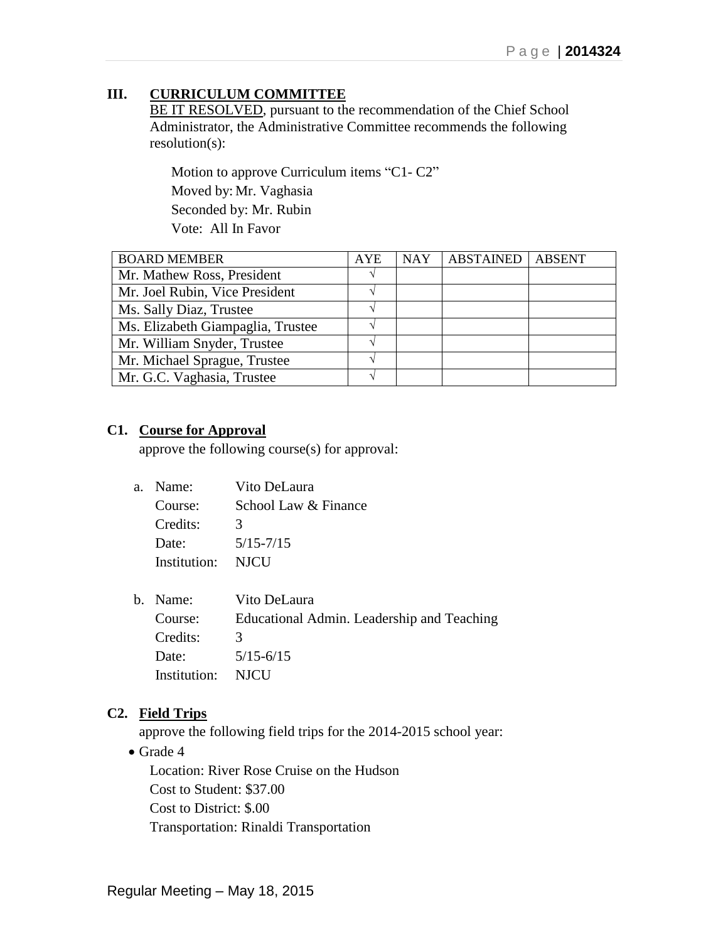# **III. CURRICULUM COMMITTEE**

BE IT RESOLVED, pursuant to the recommendation of the Chief School Administrator, the Administrative Committee recommends the following resolution(s):

Motion to approve Curriculum items "C1- C2" Moved by: Mr. Vaghasia Seconded by: Mr. Rubin Vote: All In Favor

| <b>BOARD MEMBER</b>               | <b>AYE</b> | <b>NAY</b> | <b>ABSTAINED</b> | <b>ABSENT</b> |
|-----------------------------------|------------|------------|------------------|---------------|
| Mr. Mathew Ross, President        |            |            |                  |               |
| Mr. Joel Rubin, Vice President    |            |            |                  |               |
| Ms. Sally Diaz, Trustee           |            |            |                  |               |
| Ms. Elizabeth Giampaglia, Trustee |            |            |                  |               |
| Mr. William Snyder, Trustee       |            |            |                  |               |
| Mr. Michael Sprague, Trustee      |            |            |                  |               |
| Mr. G.C. Vaghasia, Trustee        |            |            |                  |               |

### **C1. Course for Approval**

approve the following course(s) for approval:

| a. Name:     | Vito DeLaura         |
|--------------|----------------------|
| Course:      | School Law & Finance |
| Credits:     | $\mathcal{L}$        |
| Date:        | $5/15 - 7/15$        |
| Institution: | NICU                 |
|              |                      |

| b. Name:          | Vito DeLaura                               |
|-------------------|--------------------------------------------|
| Course:           | Educational Admin. Leadership and Teaching |
| Credits:          | $\mathcal{R}$                              |
| Date:             | $5/15 - 6/15$                              |
| Institution: NJCU |                                            |

## **C2. Field Trips**

approve the following field trips for the 2014-2015 school year:

• Grade 4

Location: River Rose Cruise on the Hudson Cost to Student: \$37.00 Cost to District: \$.00 Transportation: Rinaldi Transportation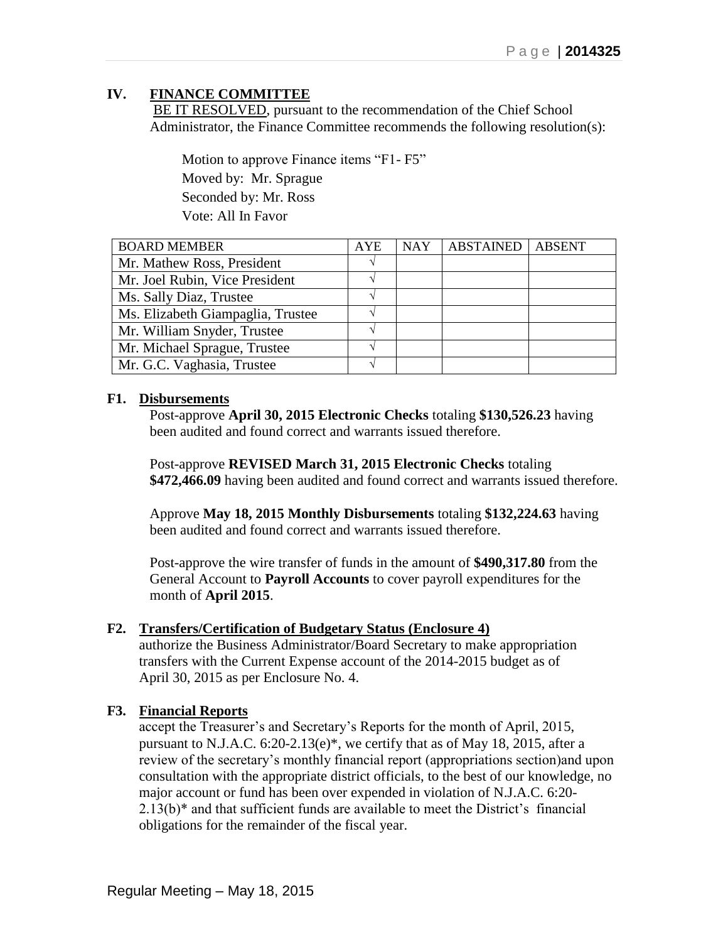# **IV. FINANCE COMMITTEE**

BE IT RESOLVED, pursuant to the recommendation of the Chief School Administrator, the Finance Committee recommends the following resolution(s):

 Motion to approve Finance items "F1- F5" Moved by: Mr. Sprague Seconded by: Mr. Ross Vote: All In Favor

| <b>BOARD MEMBER</b>               | <b>AYE</b> | <b>NAY</b> | <b>ABSTAINED</b> | <b>ABSENT</b> |
|-----------------------------------|------------|------------|------------------|---------------|
| Mr. Mathew Ross, President        |            |            |                  |               |
| Mr. Joel Rubin, Vice President    |            |            |                  |               |
| Ms. Sally Diaz, Trustee           |            |            |                  |               |
| Ms. Elizabeth Giampaglia, Trustee |            |            |                  |               |
| Mr. William Snyder, Trustee       |            |            |                  |               |
| Mr. Michael Sprague, Trustee      |            |            |                  |               |
| Mr. G.C. Vaghasia, Trustee        |            |            |                  |               |

### **F1. Disbursements**

Post-approve **April 30, 2015 Electronic Checks** totaling **\$130,526.23** having been audited and found correct and warrants issued therefore.

Post-approve **REVISED March 31, 2015 Electronic Checks** totaling **\$472,466.09** having been audited and found correct and warrants issued therefore.

Approve **May 18, 2015 Monthly Disbursements** totaling **\$132,224.63** having been audited and found correct and warrants issued therefore.

Post-approve the wire transfer of funds in the amount of **\$490,317.80** from the General Account to **Payroll Accounts** to cover payroll expenditures for the month of **April 2015**.

### **F2. Transfers/Certification of Budgetary Status (Enclosure 4)**

authorize the Business Administrator/Board Secretary to make appropriation transfers with the Current Expense account of the 2014-2015 budget as of April 30, 2015 as per Enclosure No. 4.

### **F3. Financial Reports**

accept the Treasurer's and Secretary's Reports for the month of April, 2015, pursuant to N.J.A.C. 6:20-2.13(e)\*, we certify that as of May 18, 2015, after a review of the secretary's monthly financial report (appropriations section)and upon consultation with the appropriate district officials, to the best of our knowledge, no major account or fund has been over expended in violation of N.J.A.C. 6:20- 2.13(b)\* and that sufficient funds are available to meet the District's financial obligations for the remainder of the fiscal year.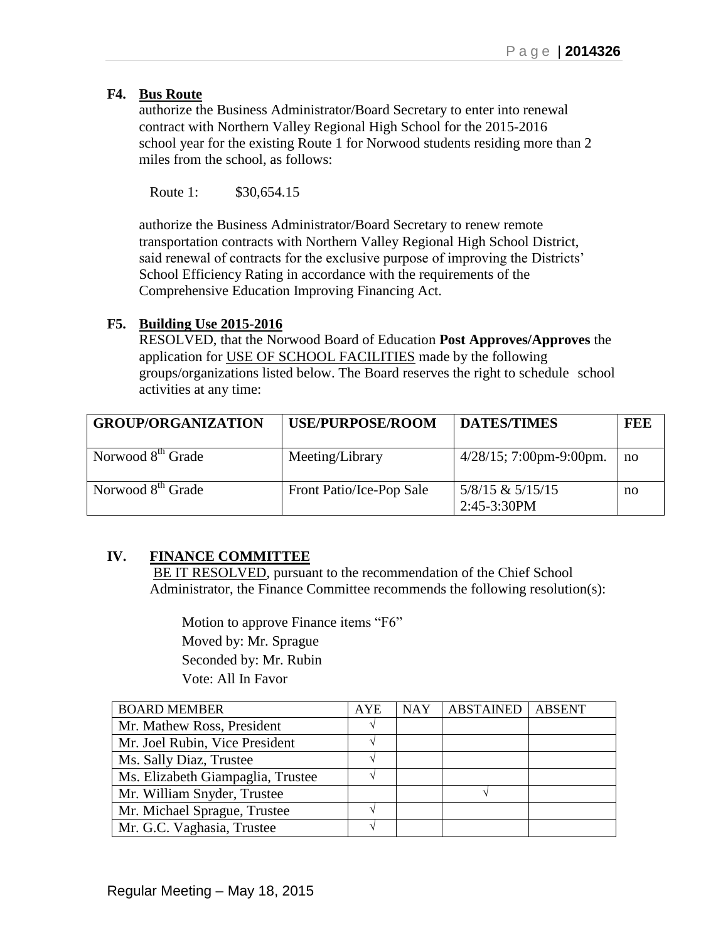## **F4. Bus Route**

authorize the Business Administrator/Board Secretary to enter into renewal contract with Northern Valley Regional High School for the 2015-2016 school year for the existing Route 1 for Norwood students residing more than 2 miles from the school, as follows:

Route 1: \$30,654.15

authorize the Business Administrator/Board Secretary to renew remote transportation contracts with Northern Valley Regional High School District, said renewal of contracts for the exclusive purpose of improving the Districts' School Efficiency Rating in accordance with the requirements of the Comprehensive Education Improving Financing Act.

## **F5. Building Use 2015-2016**

RESOLVED, that the Norwood Board of Education **Post Approves/Approves** the application for USE OF SCHOOL FACILITIES made by the following groups/organizations listed below. The Board reserves the right to schedule school activities at any time:

| <b>GROUP/ORGANIZATION</b>     | <b>USE/PURPOSE/ROOM</b>  | <b>DATES/TIMES</b>                  | FEE |
|-------------------------------|--------------------------|-------------------------------------|-----|
| Norwood 8 <sup>th</sup> Grade | Meeting/Library          | $4/28/15$ ; 7:00pm-9:00pm.          | no  |
| Norwood 8 <sup>th</sup> Grade | Front Patio/Ice-Pop Sale | $5/8/15$ & $5/15/15$<br>2:45-3:30PM | no  |

# **IV. FINANCE COMMITTEE**

BE IT RESOLVED, pursuant to the recommendation of the Chief School Administrator, the Finance Committee recommends the following resolution(s):

 Motion to approve Finance items "F6" Moved by: Mr. Sprague Seconded by: Mr. Rubin Vote: All In Favor

| <b>BOARD MEMBER</b>               | <b>AYE</b> | <b>NAY</b> | <b>ABSTAINED</b> | <b>ABSENT</b> |
|-----------------------------------|------------|------------|------------------|---------------|
| Mr. Mathew Ross, President        |            |            |                  |               |
| Mr. Joel Rubin, Vice President    |            |            |                  |               |
| Ms. Sally Diaz, Trustee           |            |            |                  |               |
| Ms. Elizabeth Giampaglia, Trustee |            |            |                  |               |
| Mr. William Snyder, Trustee       |            |            |                  |               |
| Mr. Michael Sprague, Trustee      |            |            |                  |               |
| Mr. G.C. Vaghasia, Trustee        |            |            |                  |               |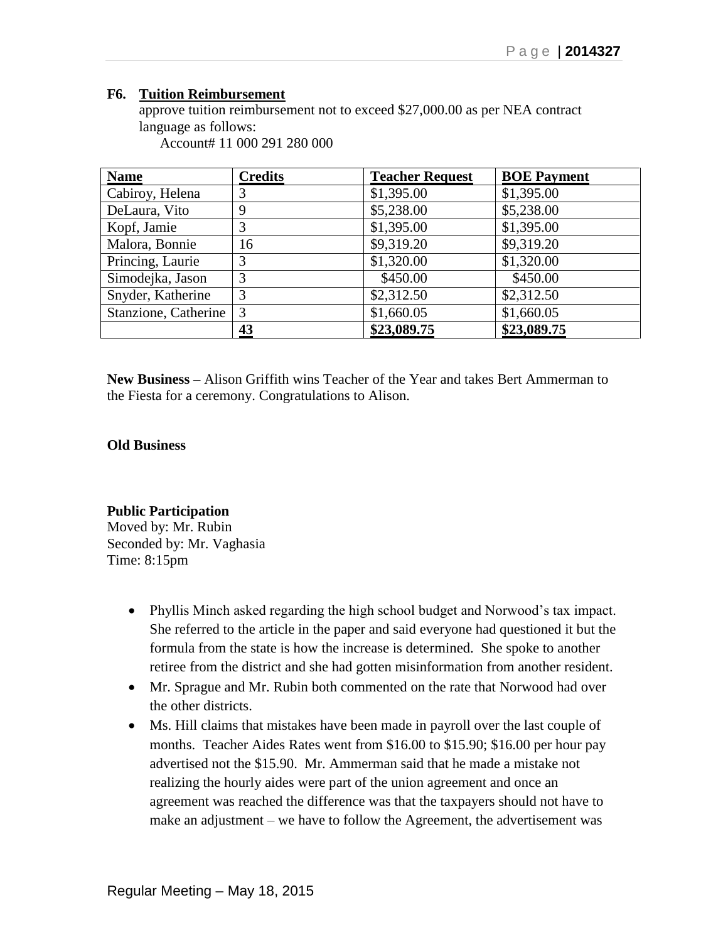### **F6. Tuition Reimbursement**

approve tuition reimbursement not to exceed \$27,000.00 as per NEA contract language as follows:

Account# 11 000 291 280 000

| <b>Name</b>          | <b>Credits</b> | <b>Teacher Request</b> | <b>BOE Payment</b> |
|----------------------|----------------|------------------------|--------------------|
| Cabiroy, Helena      | 3              | \$1,395.00             | \$1,395.00         |
| DeLaura, Vito        | 9              | \$5,238.00             | \$5,238.00         |
| Kopf, Jamie          |                | \$1,395.00             | \$1,395.00         |
| Malora, Bonnie       | 16             | \$9,319.20             | \$9,319.20         |
| Princing, Laurie     | 3              | \$1,320.00             | \$1,320.00         |
| Simodejka, Jason     | 3              | \$450.00               | \$450.00           |
| Snyder, Katherine    | 3              | \$2,312.50             | \$2,312.50         |
| Stanzione, Catherine | $\overline{3}$ | \$1,660.05             | \$1,660.05         |
|                      | 43             | \$23,089.75            | \$23,089.75        |

**New Business –** Alison Griffith wins Teacher of the Year and takes Bert Ammerman to the Fiesta for a ceremony. Congratulations to Alison.

### **Old Business**

## **Public Participation**

Moved by: Mr. Rubin Seconded by: Mr. Vaghasia Time: 8:15pm

- Phyllis Minch asked regarding the high school budget and Norwood's tax impact. She referred to the article in the paper and said everyone had questioned it but the formula from the state is how the increase is determined. She spoke to another retiree from the district and she had gotten misinformation from another resident.
- Mr. Sprague and Mr. Rubin both commented on the rate that Norwood had over the other districts.
- Ms. Hill claims that mistakes have been made in payroll over the last couple of months. Teacher Aides Rates went from \$16.00 to \$15.90; \$16.00 per hour pay advertised not the \$15.90. Mr. Ammerman said that he made a mistake not realizing the hourly aides were part of the union agreement and once an agreement was reached the difference was that the taxpayers should not have to make an adjustment – we have to follow the Agreement, the advertisement was